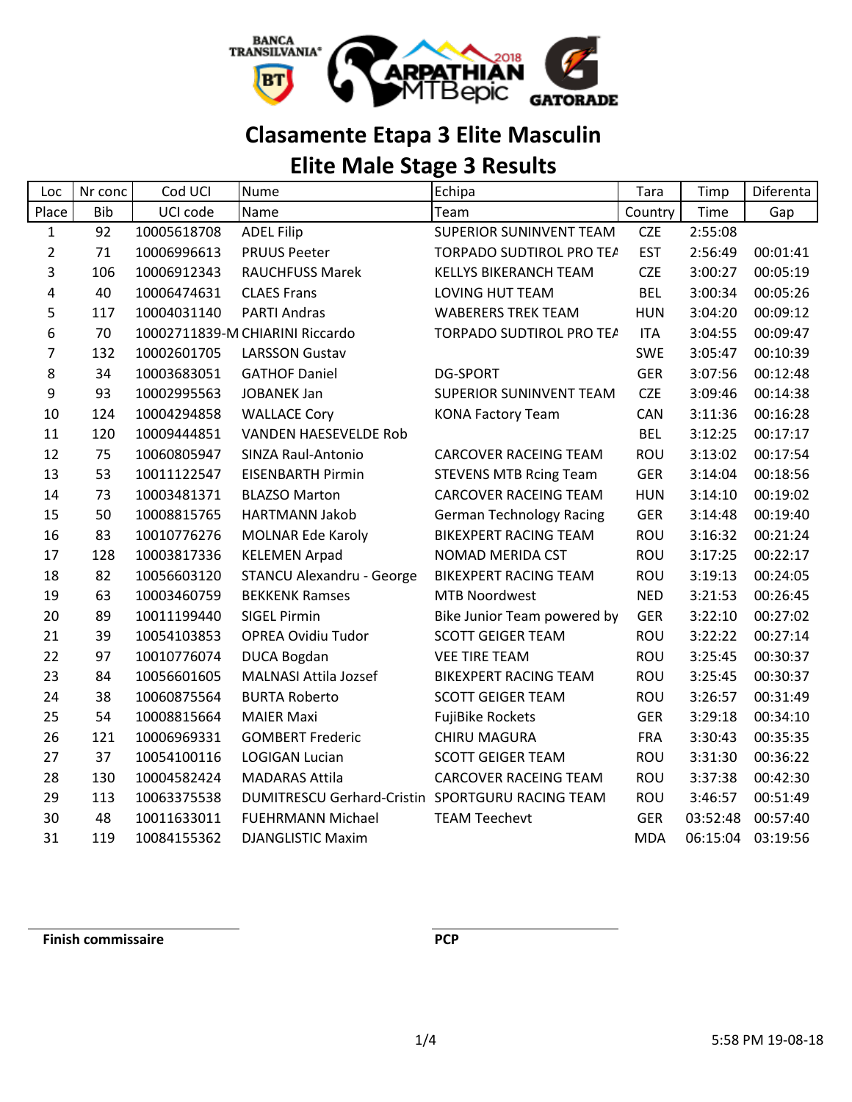

## **Clasamente Etapa 3 Elite Masculin**

# **Elite Male Stage 3 Results**

| Loc            | Nr conc    | Cod UCI     | <b>Nume</b>                                      | Echipa                          | Tara       | Timp     | Diferenta |
|----------------|------------|-------------|--------------------------------------------------|---------------------------------|------------|----------|-----------|
| Place          | <b>Bib</b> | UCI code    | Name                                             | Team                            | Country    | Time     | Gap       |
| $\mathbf{1}$   | 92         | 10005618708 | <b>ADEL Filip</b>                                | <b>SUPERIOR SUNINVENT TEAM</b>  | <b>CZE</b> | 2:55:08  |           |
| $\overline{2}$ | 71         | 10006996613 | <b>PRUUS Peeter</b>                              | TORPADO SUDTIROL PRO TEA        | <b>EST</b> | 2:56:49  | 00:01:41  |
| 3              | 106        | 10006912343 | <b>RAUCHFUSS Marek</b>                           | <b>KELLYS BIKERANCH TEAM</b>    | <b>CZE</b> | 3:00:27  | 00:05:19  |
| 4              | 40         | 10006474631 | <b>CLAES Frans</b>                               | LOVING HUT TEAM                 | <b>BEL</b> | 3:00:34  | 00:05:26  |
| 5              | 117        | 10004031140 | <b>PARTI Andras</b>                              | <b>WABERERS TREK TEAM</b>       | <b>HUN</b> | 3:04:20  | 00:09:12  |
| 6              | 70         |             | 10002711839-M CHIARINI Riccardo                  | TORPADO SUDTIROL PRO TEA        | <b>ITA</b> | 3:04:55  | 00:09:47  |
| 7              | 132        | 10002601705 | <b>LARSSON Gustav</b>                            |                                 | <b>SWE</b> | 3:05:47  | 00:10:39  |
| 8              | 34         | 10003683051 | <b>GATHOF Daniel</b>                             | <b>DG-SPORT</b>                 | <b>GER</b> | 3:07:56  | 00:12:48  |
| 9              | 93         | 10002995563 | <b>JOBANEK Jan</b>                               | SUPERIOR SUNINVENT TEAM         | <b>CZE</b> | 3:09:46  | 00:14:38  |
| 10             | 124        | 10004294858 | <b>WALLACE Cory</b>                              | <b>KONA Factory Team</b>        | <b>CAN</b> | 3:11:36  | 00:16:28  |
| 11             | 120        | 10009444851 | <b>VANDEN HAESEVELDE Rob</b>                     |                                 | <b>BEL</b> | 3:12:25  | 00:17:17  |
| 12             | 75         | 10060805947 | SINZA Raul-Antonio                               | <b>CARCOVER RACEING TEAM</b>    | <b>ROU</b> | 3:13:02  | 00:17:54  |
| 13             | 53         | 10011122547 | <b>EISENBARTH Pirmin</b>                         | <b>STEVENS MTB Rcing Team</b>   | <b>GER</b> | 3:14:04  | 00:18:56  |
| 14             | 73         | 10003481371 | <b>BLAZSO Marton</b>                             | <b>CARCOVER RACEING TEAM</b>    | <b>HUN</b> | 3:14:10  | 00:19:02  |
| 15             | 50         | 10008815765 | <b>HARTMANN Jakob</b>                            | <b>German Technology Racing</b> | <b>GER</b> | 3:14:48  | 00:19:40  |
| 16             | 83         | 10010776276 | <b>MOLNAR Ede Karoly</b>                         | <b>BIKEXPERT RACING TEAM</b>    | <b>ROU</b> | 3:16:32  | 00:21:24  |
| 17             | 128        | 10003817336 | <b>KELEMEN Arpad</b>                             | NOMAD MERIDA CST                | <b>ROU</b> | 3:17:25  | 00:22:17  |
| 18             | 82         | 10056603120 | <b>STANCU Alexandru - George</b>                 | <b>BIKEXPERT RACING TEAM</b>    | <b>ROU</b> | 3:19:13  | 00:24:05  |
| 19             | 63         | 10003460759 | <b>BEKKENK Ramses</b>                            | <b>MTB Noordwest</b>            | <b>NED</b> | 3:21:53  | 00:26:45  |
| 20             | 89         | 10011199440 | <b>SIGEL Pirmin</b>                              | Bike Junior Team powered by     | <b>GER</b> | 3:22:10  | 00:27:02  |
| 21             | 39         | 10054103853 | <b>OPREA Ovidiu Tudor</b>                        | <b>SCOTT GEIGER TEAM</b>        | <b>ROU</b> | 3:22:22  | 00:27:14  |
| 22             | 97         | 10010776074 | <b>DUCA Bogdan</b>                               | <b>VEE TIRE TEAM</b>            | <b>ROU</b> | 3:25:45  | 00:30:37  |
| 23             | 84         | 10056601605 | <b>MALNASI Attila Jozsef</b>                     | <b>BIKEXPERT RACING TEAM</b>    | <b>ROU</b> | 3:25:45  | 00:30:37  |
| 24             | 38         | 10060875564 | <b>BURTA Roberto</b>                             | <b>SCOTT GEIGER TEAM</b>        | <b>ROU</b> | 3:26:57  | 00:31:49  |
| 25             | 54         | 10008815664 | <b>MAIER Maxi</b>                                | <b>FujiBike Rockets</b>         | <b>GER</b> | 3:29:18  | 00:34:10  |
| 26             | 121        | 10006969331 | <b>GOMBERT Frederic</b>                          | <b>CHIRU MAGURA</b>             | <b>FRA</b> | 3:30:43  | 00:35:35  |
| 27             | 37         | 10054100116 | <b>LOGIGAN Lucian</b>                            | <b>SCOTT GEIGER TEAM</b>        | <b>ROU</b> | 3:31:30  | 00:36:22  |
| 28             | 130        | 10004582424 | <b>MADARAS Attila</b>                            | <b>CARCOVER RACEING TEAM</b>    | ROU        | 3:37:38  | 00:42:30  |
| 29             | 113        | 10063375538 | DUMITRESCU Gerhard-Cristin SPORTGURU RACING TEAM |                                 | <b>ROU</b> | 3:46:57  | 00:51:49  |
| 30             | 48         | 10011633011 | <b>FUEHRMANN Michael</b>                         | <b>TEAM Teechevt</b>            | <b>GER</b> | 03:52:48 | 00:57:40  |
| 31             | 119        | 10084155362 | <b>DJANGLISTIC Maxim</b>                         |                                 | <b>MDA</b> | 06:15:04 | 03:19:56  |

**Finish commissaire PCP**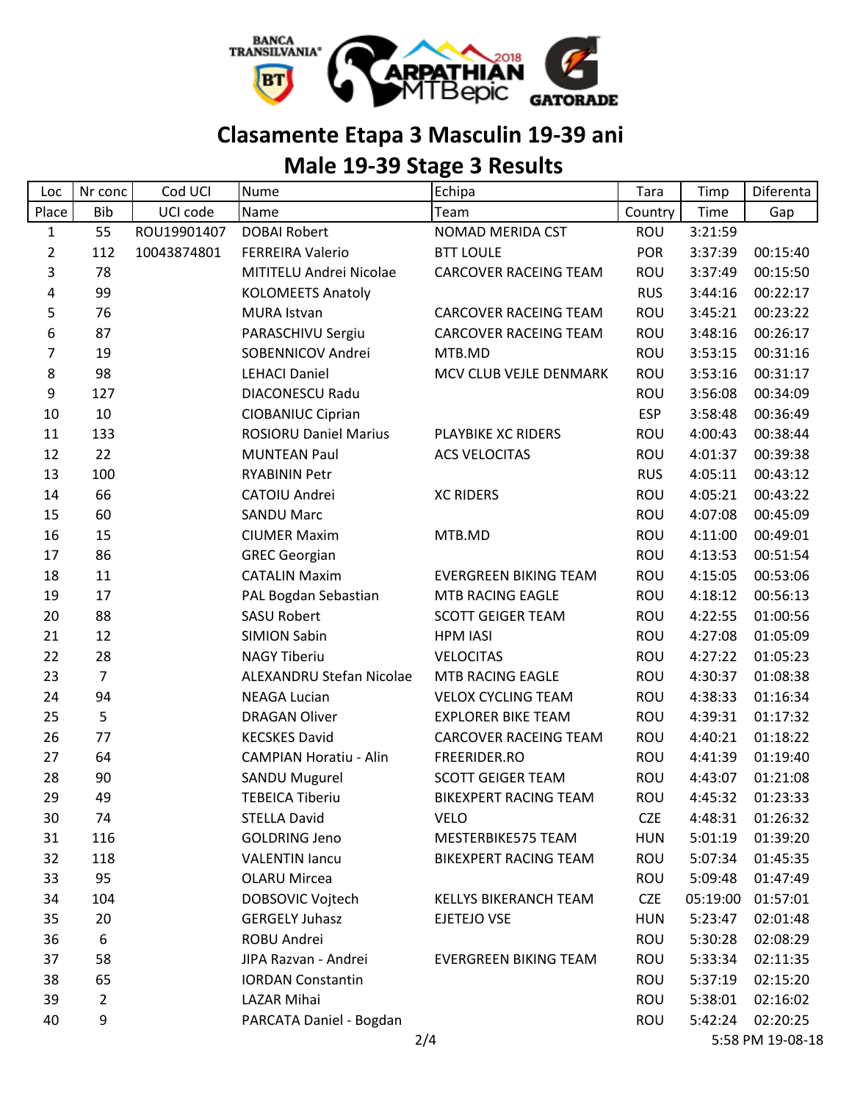

## **Clasamente Etapa 3 Masculin 19-39 ani**

## **Male 19-39 Stage 3 Results**

| Loc            | Nr conc        | Cod UCI     | <b>Nume</b>                   | Echipa                       | Tara       | Timp     | Diferenta        |
|----------------|----------------|-------------|-------------------------------|------------------------------|------------|----------|------------------|
| Place          | <b>Bib</b>     | UCI code    | Name                          | Team                         | Country    | Time     | Gap              |
| $\mathbf{1}$   | 55             | ROU19901407 | <b>DOBAI Robert</b>           | NOMAD MERIDA CST             | ROU        | 3:21:59  |                  |
| $\overline{2}$ | 112            | 10043874801 | <b>FERREIRA Valerio</b>       | <b>BTT LOULE</b>             | <b>POR</b> | 3:37:39  | 00:15:40         |
| 3              | 78             |             | MITITELU Andrei Nicolae       | <b>CARCOVER RACEING TEAM</b> | ROU        | 3:37:49  | 00:15:50         |
| 4              | 99             |             | <b>KOLOMEETS Anatoly</b>      |                              | <b>RUS</b> | 3:44:16  | 00:22:17         |
| 5              | 76             |             | <b>MURA Istvan</b>            | <b>CARCOVER RACEING TEAM</b> | ROU        | 3:45:21  | 00:23:22         |
| 6              | 87             |             | PARASCHIVU Sergiu             | <b>CARCOVER RACEING TEAM</b> | ROU        | 3:48:16  | 00:26:17         |
| 7              | 19             |             | SOBENNICOV Andrei             | MTB.MD                       | ROU        | 3:53:15  | 00:31:16         |
| 8              | 98             |             | <b>LEHACI Daniel</b>          | MCV CLUB VEJLE DENMARK       | ROU        | 3:53:16  | 00:31:17         |
| 9              | 127            |             | <b>DIACONESCU Radu</b>        |                              | ROU        | 3:56:08  | 00:34:09         |
| 10             | 10             |             | <b>CIOBANIUC Ciprian</b>      |                              | <b>ESP</b> | 3:58:48  | 00:36:49         |
| 11             | 133            |             | <b>ROSIORU Daniel Marius</b>  | PLAYBIKE XC RIDERS           | ROU        | 4:00:43  | 00:38:44         |
| 12             | 22             |             | <b>MUNTEAN Paul</b>           | <b>ACS VELOCITAS</b>         | ROU        | 4:01:37  | 00:39:38         |
| 13             | 100            |             | <b>RYABININ Petr</b>          |                              | <b>RUS</b> | 4:05:11  | 00:43:12         |
| 14             | 66             |             | CATOIU Andrei                 | <b>XC RIDERS</b>             | ROU        | 4:05:21  | 00:43:22         |
| 15             | 60             |             | <b>SANDU Marc</b>             |                              | ROU        | 4:07:08  | 00:45:09         |
| 16             | 15             |             | <b>CIUMER Maxim</b>           | MTB.MD                       | ROU        | 4:11:00  | 00:49:01         |
| 17             | 86             |             | <b>GREC Georgian</b>          |                              | ROU        | 4:13:53  | 00:51:54         |
| 18             | 11             |             | <b>CATALIN Maxim</b>          | <b>EVERGREEN BIKING TEAM</b> | ROU        | 4:15:05  | 00:53:06         |
| 19             | 17             |             | PAL Bogdan Sebastian          | MTB RACING EAGLE             | ROU        | 4:18:12  | 00:56:13         |
| 20             | 88             |             | <b>SASU Robert</b>            | <b>SCOTT GEIGER TEAM</b>     | ROU        | 4:22:55  | 01:00:56         |
| 21             | 12             |             | <b>SIMION Sabin</b>           | <b>HPM IASI</b>              | ROU        | 4:27:08  | 01:05:09         |
| 22             | 28             |             | <b>NAGY Tiberiu</b>           | <b>VELOCITAS</b>             | ROU        | 4:27:22  | 01:05:23         |
| 23             | $\overline{7}$ |             | ALEXANDRU Stefan Nicolae      | MTB RACING EAGLE             | ROU        | 4:30:37  | 01:08:38         |
| 24             | 94             |             | <b>NEAGA Lucian</b>           | <b>VELOX CYCLING TEAM</b>    | ROU        | 4:38:33  | 01:16:34         |
| 25             | 5              |             | <b>DRAGAN Oliver</b>          | <b>EXPLORER BIKE TEAM</b>    | ROU        | 4:39:31  | 01:17:32         |
| 26             | 77             |             | <b>KECSKES David</b>          | <b>CARCOVER RACEING TEAM</b> | ROU        | 4:40:21  | 01:18:22         |
| 27             | 64             |             | <b>CAMPIAN Horatiu - Alin</b> | FREERIDER.RO                 | ROU        | 4:41:39  | 01:19:40         |
| 28             | 90             |             | <b>SANDU Mugurel</b>          | <b>SCOTT GEIGER TEAM</b>     | ROU        | 4:43:07  | 01:21:08         |
| 29             | 49             |             | <b>TEBEICA Tiberiu</b>        | BIKEXPERT RACING TEAM        | <b>ROU</b> | 4:45:32  | 01:23:33         |
| 30             | 74             |             | <b>STELLA David</b>           | <b>VELO</b>                  | <b>CZE</b> | 4:48:31  | 01:26:32         |
| 31             | 116            |             | <b>GOLDRING Jeno</b>          | MESTERBIKE575 TEAM           | <b>HUN</b> | 5:01:19  | 01:39:20         |
| 32             | 118            |             | <b>VALENTIN lancu</b>         | <b>BIKEXPERT RACING TEAM</b> | ROU        | 5:07:34  | 01:45:35         |
| 33             | 95             |             | <b>OLARU Mircea</b>           |                              | <b>ROU</b> | 5:09:48  | 01:47:49         |
| 34             | 104            |             | DOBSOVIC Vojtech              | KELLYS BIKERANCH TEAM        | <b>CZE</b> | 05:19:00 | 01:57:01         |
| 35             | 20             |             | <b>GERGELY Juhasz</b>         | EJETEJO VSE                  | <b>HUN</b> | 5:23:47  | 02:01:48         |
| 36             | 6              |             | ROBU Andrei                   |                              | <b>ROU</b> | 5:30:28  | 02:08:29         |
| 37             | 58             |             | JIPA Razvan - Andrei          | EVERGREEN BIKING TEAM        | <b>ROU</b> | 5:33:34  | 02:11:35         |
| 38             | 65             |             | <b>IORDAN Constantin</b>      |                              | <b>ROU</b> | 5:37:19  | 02:15:20         |
| 39             | 2              |             | LAZAR Mihai                   |                              | ROU        | 5:38:01  | 02:16:02         |
| 40             | 9              |             | PARCATA Daniel - Bogdan       |                              | ROU        | 5:42:24  | 02:20:25         |
|                |                |             |                               | 2/4                          |            |          | 5:58 PM 19-08-18 |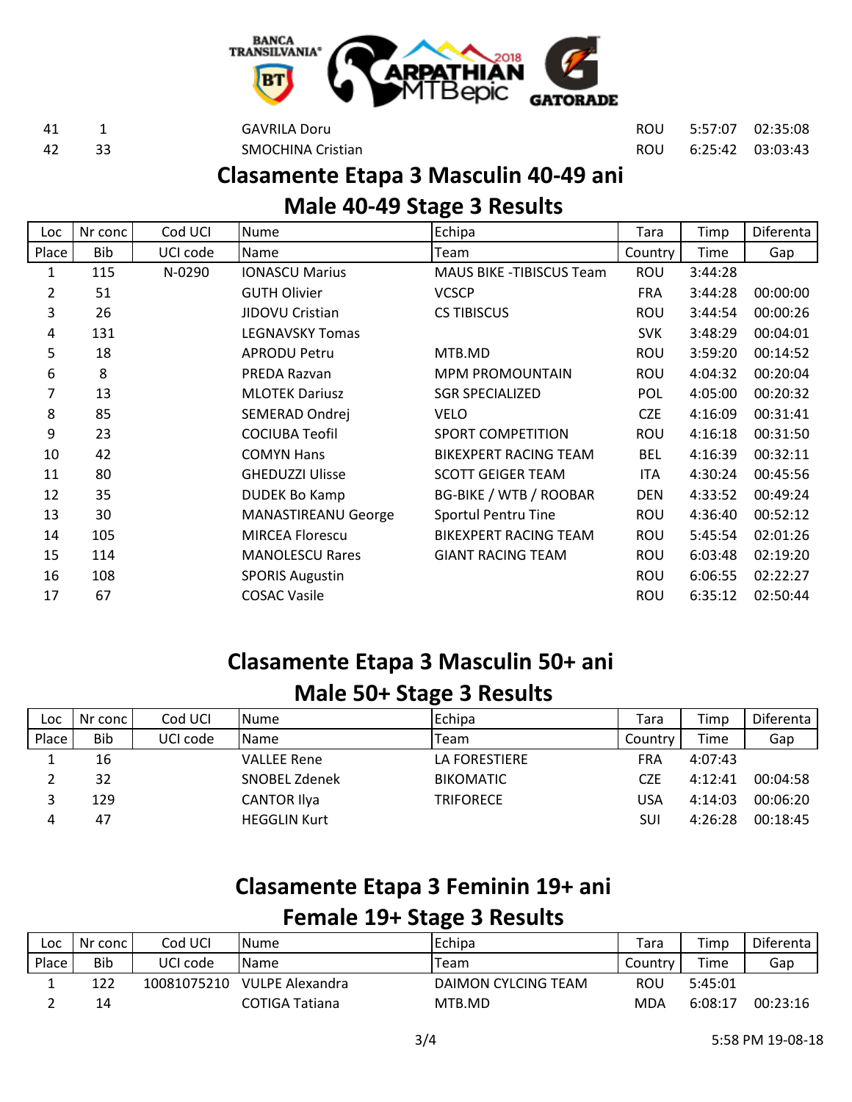

 1 GAVRILA Doru ROU 5:57:07 02:35:08 33 SMOCHINA Cristian ROU 6:25:42 03:03:43

# **Clasamente Etapa 3 Masculin 40-49 ani**

#### **Male 40-49 Stage 3 Results**

| Loc            | Nr conc | Cod UCI  | <b>Nume</b>                | Echipa                          | Tara       | Timp    | Diferenta |
|----------------|---------|----------|----------------------------|---------------------------------|------------|---------|-----------|
| Place          | Bib     | UCI code | <b>Name</b>                | Team                            | Country    | Time    | Gap       |
| 1              | 115     | N-0290   | <b>IONASCU Marius</b>      | <b>MAUS BIKE -TIBISCUS Team</b> | ROU        | 3:44:28 |           |
| $\overline{2}$ | 51      |          | <b>GUTH Olivier</b>        | <b>VCSCP</b>                    | <b>FRA</b> | 3:44:28 | 00:00:00  |
| 3              | 26      |          | JIDOVU Cristian            | <b>CS TIBISCUS</b>              | ROU        | 3:44:54 | 00:00:26  |
| 4              | 131     |          | <b>LEGNAVSKY Tomas</b>     |                                 | <b>SVK</b> | 3:48:29 | 00:04:01  |
| 5              | 18      |          | <b>APRODU Petru</b>        | MTB.MD                          | ROU        | 3:59:20 | 00:14:52  |
| 6              | 8       |          | PREDA Razvan               | <b>MPM PROMOUNTAIN</b>          | ROU        | 4:04:32 | 00:20:04  |
| 7              | 13      |          | <b>MLOTEK Dariusz</b>      | <b>SGR SPECIALIZED</b>          | <b>POL</b> | 4:05:00 | 00:20:32  |
| 8              | 85      |          | SEMERAD Ondrej             | <b>VELO</b>                     | <b>CZE</b> | 4:16:09 | 00:31:41  |
| 9              | 23      |          | <b>COCIUBA Teofil</b>      | <b>SPORT COMPETITION</b>        | ROU        | 4:16:18 | 00:31:50  |
| 10             | 42      |          | <b>COMYN Hans</b>          | <b>BIKEXPERT RACING TEAM</b>    | <b>BEL</b> | 4:16:39 | 00:32:11  |
| 11             | 80      |          | <b>GHEDUZZI Ulisse</b>     | <b>SCOTT GEIGER TEAM</b>        | ITA        | 4:30:24 | 00:45:56  |
| 12             | 35      |          | <b>DUDEK Bo Kamp</b>       | <b>BG-BIKE / WTB / ROOBAR</b>   | <b>DEN</b> | 4:33:52 | 00:49:24  |
| 13             | 30      |          | <b>MANASTIREANU George</b> | Sportul Pentru Tine             | ROU        | 4:36:40 | 00:52:12  |
| 14             | 105     |          | <b>MIRCEA Florescu</b>     | <b>BIKEXPERT RACING TEAM</b>    | ROU        | 5:45:54 | 02:01:26  |
| 15             | 114     |          | <b>MANOLESCU Rares</b>     | <b>GIANT RACING TEAM</b>        | ROU        | 6:03:48 | 02:19:20  |
| 16             | 108     |          | <b>SPORIS Augustin</b>     |                                 | ROU        | 6:06:55 | 02:22:27  |
| 17             | 67      |          | <b>COSAC Vasile</b>        |                                 | ROU        | 6:35:12 | 02:50:44  |

## **Clasamente Etapa 3 Masculin 50+ ani**

#### **Male 50+ Stage 3 Results**

| Loc   | Nr conc    | Cod UCI  | <b>INume</b>        | Echipa           | Tara    | Timp    | Diferenta |
|-------|------------|----------|---------------------|------------------|---------|---------|-----------|
| Place | <b>Bib</b> | UCI code | <b>I</b> Name       | Team             | Country | Time    | Gap       |
| щ.    | 16         |          | VALLEE Rene         | LA FORESTIERE    | FRA     | 4:07:43 |           |
|       | 32         |          | SNOBEL Zdenek       | <b>BIKOMATIC</b> | CZE     | 4:12:41 | 00:04:58  |
|       | 129        |          | <b>CANTOR Ilya</b>  | TRIFORECE        | USA     | 4:14:03 | 00:06:20  |
|       | 47         |          | <b>HEGGLIN Kurt</b> |                  | SUI     | 4:26:28 | 00:18:45  |

#### **Clasamente Etapa 3 Feminin 19+ ani**

#### **Female 19+ Stage 3 Results**

| Loc   | Nr conc | Cod UCI     | <b>I</b> Nume   | Echipa              | Tara      | Timp    | Diferenta |
|-------|---------|-------------|-----------------|---------------------|-----------|---------|-----------|
| Place | Bib     | UCI code    | <b>I</b> Name   | Team                | Country I | Time    | Gap       |
|       | 122     | 10081075210 | VULPE Alexandra | DAIMON CYLCING TEAM | ROU       | 5:45:01 |           |
|       | 14      |             | COTIGA Tatiana  | MTB.MD              | MDA       | 6:08:17 | 00:23:16  |